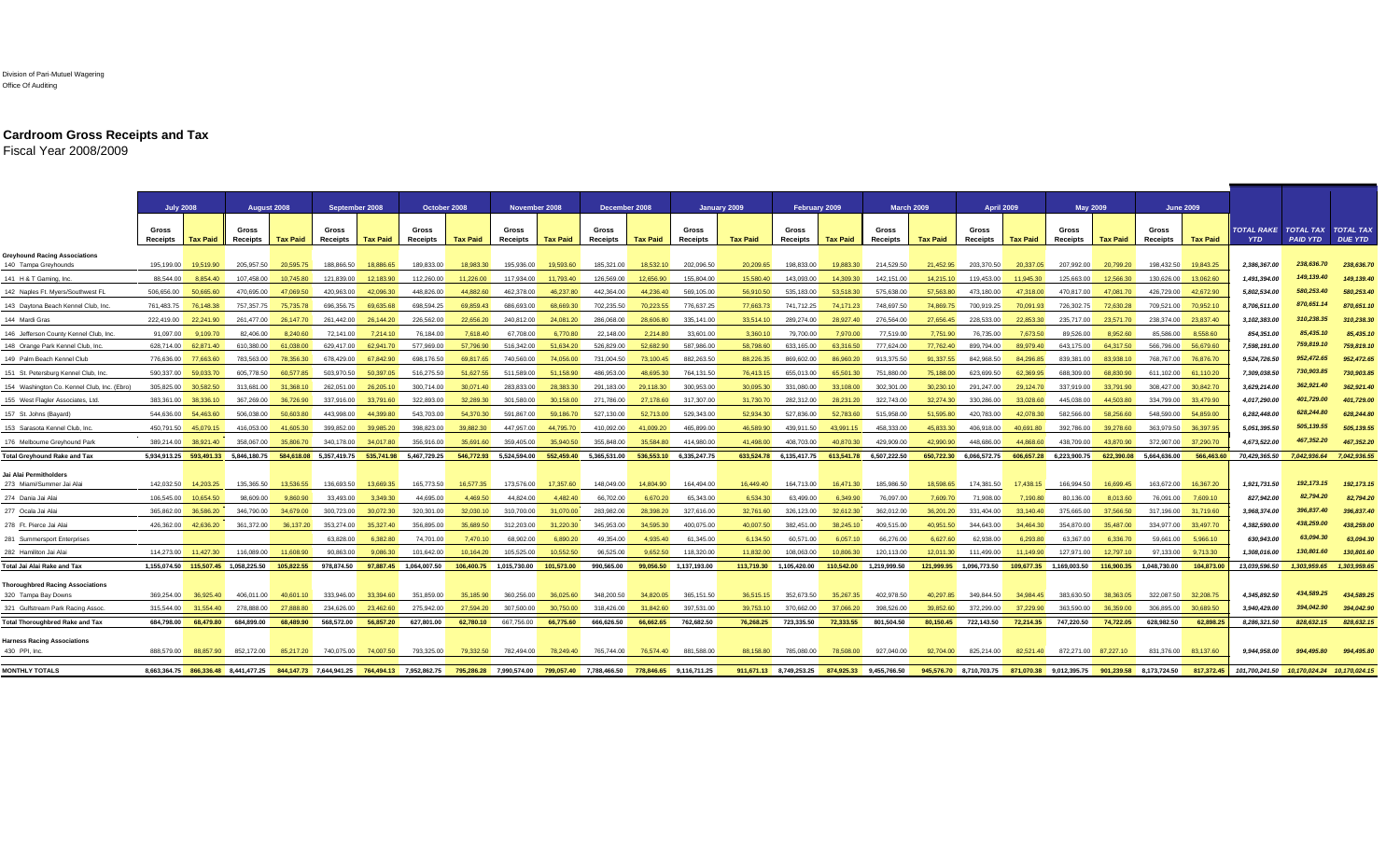## Division of Pari-Mutuel Wagering Office Of Auditing

## **Cardroom Gross Receipts and Tax**

Fiscal Year 2008/2009

|                                                                | August 2008<br><b>July 2008</b> |                      |                                                                         |                 | September 2008    |                 |                        | October 2008    |                         | November 2008   |                         | December 2008   |                         | January 2009    |                          | February 2009           |                         | <b>March 2009</b> |                          | <b>April 2009</b> |                                                                         | <b>May 2009</b> |                         | <b>June 2009</b> |                                    |                                              |                                    |
|----------------------------------------------------------------|---------------------------------|----------------------|-------------------------------------------------------------------------|-----------------|-------------------|-----------------|------------------------|-----------------|-------------------------|-----------------|-------------------------|-----------------|-------------------------|-----------------|--------------------------|-------------------------|-------------------------|-------------------|--------------------------|-------------------|-------------------------------------------------------------------------|-----------------|-------------------------|------------------|------------------------------------|----------------------------------------------|------------------------------------|
|                                                                | Gross<br>Receipts               | <b>Tax Paid</b>      | Gross<br>Receipts                                                       | <b>Tax Paid</b> | Gross<br>Receipts | <b>Tax Paid</b> | Gross<br>Receipts      | <b>Tax Paid</b> | Gross<br>Receipts       | <b>Tax Paid</b> | Gross<br>Receipts       | <b>Tax Paid</b> | Gross<br>Receipts       | <b>Tax Paid</b> | Gross<br><b>Receipts</b> | <b>Tax Paid</b>         | Gross<br>Receipts       | <b>Tax Paid</b>   | Gross<br><b>Receipts</b> | <b>Tax Paid</b>   | Gross<br>Receipts                                                       | <b>Tax Paid</b> | Gross<br>Receipts       | <b>Tax Paid</b>  | TOTAL RAKE TOTAL TAX<br><b>YTD</b> | <b>PAID YTD</b>                              | <b>TOTAL TAX</b><br><b>DUE YTD</b> |
| <b>Sreyhound Racing Associations</b><br>140 Tampa Greyhounds   | 195.199.00                      | 19,519.90            | 205,957.50                                                              | 20.595.75       | 188.866.50        | 18,886.65       | 189.833.00             | 18.983.30       | 195,936.00              | 19,593.60       | 185,321.00              | 18,532.10       | 202,096.50              | 20,209.65       | 198,833.00               | 19,883.30               | 214,529.50              | 21.452.95         | 203,370.50               | 20.337.05         | 207,992.00                                                              | 20,799.20       | 198,432.50              | 19,843.25        | 2,386,367.00                       | 238,636.70                                   | 238,636.70                         |
| 141 H & T Gaming, Inc.                                         | 88.544.00                       | 8.854.40             | 107.458.00                                                              | 10.745.80       | 121.839.00        | 12.183.90       | 112,260.00             | 11.226.00       | 117.934.00              | 11.793.40       | 126,569.00              | 12.656.90       | 155,804.00              | 15,580.40       | 143.093.00               | 14.309.30               | 142.151.00              | 14.215.10         | 119,453.00               | 11.945.30         | 125.663.00                                                              | 12.566.30       | 130,626,00              | 13,062,60        | 1,491,394.00                       | 149,139.40                                   | 149,139.40                         |
| 142 Naples Ft. Myers/Southwest FL                              | 506,656.00                      | 50.665.60            | 470,695.00                                                              | 47.069.50       | 420.963.00        | 42.096.30       | 448.826.00             | 44.882.60       | 462.378.00              | 46.237.80       | 442.364.00              | 44,236.40       | 569,105.00              | 56.910.50       | 535,183.00               | 53,518.30               | 575,638.00              | 57.563.80         | 473,180.00               | 47.318.00         | 470,817.00                                                              | 47.081.70       | 426,729.00              | 42,672.90        | 5,802,534.00                       | 580,253.40                                   | 580,253.40                         |
| 143 Daytona Beach Kennel Club, Inc.                            | 761.483.75                      | 76,148.38            | 757.357.75                                                              | 75.735.78       | 696.356.75        | 69 635 68       | 698.594.25             | 69.859.43       | 686.693.00              | 68.669.30       | 702.235.50              | 70.223.55       | 776.637.25              | 77.663.73       | 741.712.25               | 74 171 23               | 748.697.50              | 74.869.75         | 700.919.25               | 70.091.93         | 726,302.75                                                              | 72.630.28       | 709.521.00              | 70.952.10        | 8.706.511.00                       | 870,651.14                                   | 870,651.10                         |
| 144 Mardi Gras                                                 | 222,419.00                      | 22,241.90            | 261.477.00                                                              | 26,147.70       | 261.442.00        | 26,144.20       | 226,562.00             | 22.656.20       | 240.812.00              | 24.081.20       | 286,068,00              | 28,606.80       | 335.141.00              | 33.514.10       | 289.274.00               | 28.927.40               | 276,564.00              | 27.656.45         | 228,533.00               | 22.853.30         | 235,717.00                                                              | 23,571,70       | 238.374.00              | 23,837,40        | 3.102.383.00                       | 310,238.35                                   | 310.238.30                         |
| 146 Jefferson County Kennel Club, Inc                          | 91.097.00                       | 9.109.70             | 82,406.00                                                               | 8.240.60        | 72.141.00         | 7,214.10        | 76.184.00              | 7.618.40        | 67,708.00               | 6,770.80        | 22,148.00               | 2,214.80        | 33,601.00               | 3.360.10        | 79,700.00                | 7.970.00                | 77,519.00               | 7.751.90          | 76,735.00                | 7.673.50          | 89,526.00                                                               | 8.952.60        | 85.586.00               | 8.558.60         | 854,351.00                         | 85,435.10                                    | 85,435.1                           |
| 148 Orange Park Kennel Club, Inc.                              | 628,714.00                      | 62.871.40            | 610.380.00                                                              | 61.038.00       | 629,417.00        | 62,941.70       | 577,969.00             | 57,796.90       | 516,342.00              | 51.634.20       | 526,829.00              | 52.682.90       | 587.986.00              | 58,798.60       | 633,165.00               | 63.316.50               | 777,624.00              | 77,762.40         | 899,794.00               | 89.979.40         | 643,175.00                                                              | 64,317.50       | 566.796.00              | 56,679,60        | 7,598,191.00                       | 759,819.10                                   | 759,819.10                         |
| 149 Palm Beach Kennel Club                                     | 776.636.00                      | 77.663.60            | 783.563.00                                                              | 78.356.30       | 678,429.00        | 67,842.90       | 698.176.50             | 69.817.65       | 740.560.00              | 74.056.00       | 731,004.50              | 73.100.45       | 882,263.50              | 88,226.35       | 869,602.00               | 86,960.20               | 913,375.50              | 91.337.55         | 842,968.50               | 84.296.85         | 839,381.00                                                              | 83,938.10       | 768,767.00              | 76,876,70        | 9,524,726.50                       | 952,472.65                                   | 952,472.65                         |
| 151 St. Petersburg Kennel Club, Inc.                           | 590.337.00                      | 59.033.70            | 605,778.50                                                              | 60.577.85       | 503.970.50        | 50.397.05       | 516,275.50             | 51.627.55       | 511.589.00              | 51.158.90       | 486.953.00              | 48.695.30       | 764.131.50              | 76.413.15       | 655.013.00               | 65,501.30               | 751,880.00              | 75,188,00         | 623.699.50               | 62.369.95         | 688.309.00                                                              | 68.830.90       | 611,102.00              | 61.110.20        | 7,309,038.50                       | 730,903.85                                   | 730,903.8                          |
| 154 Washington Co. Kennel Club, Inc. (Ebro)                    |                                 | 305.825.00 30.582.50 | 313,681.00                                                              | 31.368.10       | 262.051.00        | 26,205.10       | 300.714.00             | 30.071.40       | 283.833.00              | 28,383,30       | 291.183.00              | 29.118.30       | 300.953.00              | 30.095.30       | 331.080.00               | 33,108,00               | 302,301.00              | 30.230.10         | 291.247.00               | 29.124.70         | 337,919.00                                                              | 33,791.90       | 308.427.00              | 30,842.70        | 3,629,214.00                       | 362,921.40                                   | 362,921.40                         |
| 155 West Flagler Associates, Ltd.                              |                                 | 383.361.00 38.336.10 | 367.269.00                                                              | 36,726.90       | 337.916.00        | 33,791.60       | 322,893.00             | 32,289.30       | 301.580.00              | 30.158.00       | 271.786.00              | 27,178,60       | 317,307.00              | 31.730.70       | 282.312.00               | 28.231.20               | 322.743.00              | 32,274.30         | 330.286.00               | 33.028.60         | 445.038.00                                                              | 44,503,80       | 334,799.00              | 33,479.90        | 4,017,290.00                       | 401,729.00                                   | 401,729.00                         |
| 157 St. Johns (Bayard)                                         | 544,636.00                      | 54,463.60            | 506,038.00                                                              | 50,603.80       | 443,998.00        | 44,399.80       | 543,703.00             | 54,370.30       | 591,867.00              | 59,186.70       | 527,130.00              | 52,713.00       | 529,343.00              | 52,934.30       | 527,836.00               | 52,783.60               | 515,958.00              | 51,595.80         | 420,783.00               | 42,078.30         | 582,566.00                                                              | 58,256.60       | 548,590.00              | 54,859.00        | 6,282,448.00                       | 628,244.80                                   | 628,244.80                         |
| 153 Sarasota Kennel Club, Inc.                                 | 450.791.50                      | 45.079.15            | 416.053.00                                                              | 41,605.30       | 399.852.00        | 39.985.20       | 398.823.00             | 39.882.30       | 447.957.00              | 44.795.70       | 410.092.00              | 41.009.20       | 465.899.00              | 46.589.90       | 439.911.50               | 43.991.15               | 458.333.00              | 45.833.30         | 406.918.00               | 40.691.80         | 392.786.00                                                              | 39,278.60       | 363.979.50              | 36,397.95        | 5,051,395.50                       | 505, 139.55                                  | 505, 139.55                        |
| 176 Melbourne Greyhound Park                                   | 389,214.00                      | 38,921.40            | 358,067.00                                                              | 35,806.70       | 340,178.00        | 34,017,80       | 356,916.00             | 35,691.60       | 359,405.00              | 35,940.50       | 355,848.00              | 35,584.80       | 414,980.00              | 41.498.00       | 408.703.00               | 40.870.30               | 429,909.00              | 42,990.90         | 448.686.00               | 44.868.60         | 438,709.00                                                              | 43,870,90       | 372,907.00              | 37,290.70        | 4,673,522.00                       | 467,352.20                                   | 467,352.20                         |
| <b>Total Greyhound Rake and Tax</b>                            | 5,934,913.25 593,491.33         |                      | 5.846.180.75                                                            | 584,618.08      | 5.357.419.75      | 535,741.98      | 5.467.729.25           | 546,772.93      | 5.524.594.00            | 552,459.40      | 5.365.531.00            | 536.553.10      | 6,335,247.75            | 633.524.78      | 6.135.417.75             | 613.541.78              | 6,507,222.50            | 650.722.30        | 6.066.572.75             | 606.657.28        | 6.223.900.75                                                            | 622,390.08      | 5.664.636.00            | 566,463.60       | 70,429,365.50                      | 7.042.936.64                                 | 7,042,936.55                       |
|                                                                |                                 |                      |                                                                         |                 |                   |                 |                        |                 |                         |                 |                         |                 |                         |                 |                          |                         |                         |                   |                          |                   |                                                                         |                 |                         |                  |                                    |                                              |                                    |
| Jai Alai Permitholders<br>273 Miami/Summer Jai Alai            | 142.032.50                      | 14.203.25            | 135.365.50                                                              | 13.536.55       | 136.693.50        | 13.669.35       | 165,773.50             | 16.577.35       | 173,576,00              | 17,357.60       | 148.049.00              | 14,804.90       | 164,494.00              | 16,449.40       | 164,713.00               | 16,471.30               | 185.986.50              | 18.598.65         | 174.381.50               | 17.438.15         | 166,994.50                                                              | 16,699.45       | 163,672.00              | 16,367.20        | 1,921,731.50                       | 192, 173.15                                  | 192.173.15                         |
| 274 Dania Jai Ala                                              | 106.545.00                      | 10.654.50            | 98,609.00                                                               | 9,860.90        | 33.493.00         | 3.349.30        | 44.695.00              | 4.469.50        | 44.824.00               | 4.482.40        | 66.702.00               | 6,670.20        | 65.343.00               | 6,534,30        | 63.499.00                | 6.349.90                | 76,097,00               | 7.609.70          | 71,908.00                | 7.190.80          | 80.136.00                                                               | 8.013.60        | 76.091.00               | 7.609.10         | 827,942.00                         | 82,794.20                                    | 82.794.20                          |
| 277 Ocala Jai Ala                                              | 365,862.00                      | 36,586.20            | 346,790.00                                                              | 34,679.00       | 300,723.00        | 30,072.30       | 320,301.00             | 32,030.10       | 310,700.00              | 31,070.00       | 283,982.00              | 28,398.20       | 327,616.00              | 32,761.60       | 326,123.00               | 32,612.30               | 362,012.00              | 36,201.20         | 331,404.00               | 33,140.40         | 375,665.00                                                              | 37,566,50       | 317,196.00              | 31,719.60        | 3,968,374.00                       | 396,837.40                                   | 396,837.40                         |
| 278 Ft. Pierce Jai Alai                                        | 426.362.00                      | 42.636.20            | 361.372.00                                                              | 36,137,20       | 353.274.00        | 35,327.40       | 356,895.00             | 35,689.50       | 312,203.00              | 31,220.30       | 345.953.00              | 34.595.30       | 400.075.00              | 40.007.50       | 382,451.00               | 38.245.10               | 409.515.00              | 40.951.50         | 344,643.00               | 34.464.30         | 354,870,00                                                              | 35,487,00       | 334.977.00              | 33,497.70        | 4,382,590.00                       | 438,259.00                                   | 438,259.00                         |
| 281 Summersport Enterprises                                    |                                 |                      |                                                                         |                 | 63,828,00         | 6,382.80        | 74.701.00              | 7.470.10        | 68,902.00               | 6,890.20        | 49.354.00               | 4.935.40        | 61.345.00               | 6.134.50        | 60.571.00                | 6.057.10                | 66,276.00               | 6.627.60          | 62.938.00                | 6.293.80          | 63.367.00                                                               | 6.336.70        | 59.661.00               | 5.966.10         | 630.943.00                         | 63,094.30                                    | 63,094.3                           |
| 282 Hamiliton Jai Alai                                         |                                 | 114.273.00 11.427.30 | 116.089.00                                                              | 11.608.90       | 90.863.00         | 9.086.30        | 101.642.00             | 10.164.20       | 105.525.00              | 10.552.50       | 96.525.00               | 9.652.50        | 118,320.00              | 11.832.00       | 108.063.00               | 10,806.30               | 120.113.00              | 12.011.30         | 111.499.00               | 11.149.90         | 127.971.00                                                              | 12.797.10       | 97.133.00               | 9.713.30         | 1.308.016.00                       | 130,801.60                                   | 130.801.60                         |
| Total Jai Alai Rake and Tax                                    |                                 |                      | 1,155,074.50  115,507.45  1,058,225.50                                  | 105,822.55      | 978,874.50        |                 | 97,887.45 1,064,007.50 |                 | 106,400.75 1,015,730.00 | 101,573.00      | 990.565.00              |                 | 99,056.50 1,137,193.00  |                 | 113,719.30 1,105,420.00  |                         | 110,542.00 1,219,999.50 |                   | 121,999.95 1,096,773.50  |                   | 109,677.35 1,169,003.50                                                 |                 | 116,900.35 1,048,730.00 | 104,873.00       | 13,039,596.50                      | 1,303,959.65                                 | 1.303.959.65                       |
|                                                                |                                 |                      |                                                                         |                 |                   |                 |                        |                 |                         |                 |                         |                 |                         |                 |                          |                         |                         |                   |                          |                   |                                                                         |                 |                         |                  |                                    |                                              |                                    |
| <b>Thoroughbred Racing Associations</b><br>320 Tampa Bay Downs | 369,254.00                      | 36 925 40            | 406.011.00                                                              | 40,601.10       | 333,946.00        | 33.394.60       | 351.859.00             | 35.185.90       | 360,256.00              | 36,025,60       | 348,200.50              | 34.820.05       | 365.151.50              | 36.515.15       | 352.673.50               | 35.267.35               | 402.978.50              | 40.297.85         | 349.844.50               | 34.984.45         | 383.630.50                                                              | 38.363.05       | 322.087.50              | 32,208.75        | 4.345.892.50                       | 434,589.25                                   | 434,589.25                         |
| 321 Gulfstream Park Racing Assoc                               | 315,544.00                      | 31.554.40            | 278.888.00                                                              | 27,888.80       | 234,626.00        | 23,462.60       | 275,942.00             | 27,594.20       | 307.500.00              | 30,750.00       | 318,426.00              | 31.842.60       | 397,531.00              | 39,753.10       | 370,662.00               | 37,066.20               | 398.526.00              | 39,852.60         | 372,299.00               | 37,229.90         | 363,590.00                                                              | 36,359.00       | 306,895.00              | 30.689.50        | 3.940.429.00                       | 394,042.90                                   | 394,042.90                         |
| <b>Total Thoroughbred Rake and Tax</b>                         | 684.798.00                      | 68,479.80            | 684.899.00                                                              | 68,489,90       | 568.572.00        | 56.857.20       | 627.801.00             | 62.780.10       | 667.756.00              | 66.775.60       | 666.626.50              | 66.662.65       | 762.682.50              | 76.268.25       | 723.335.50               | 72.333.55               | 801.504.50              | 80.150.45         | 722.143.50               | 72.214.35         | 747.220.50                                                              | 74.722.05       | 628.982.50              | 62.898.25        | 8.286.321.50                       | 828.632.15                                   | 828.632.15                         |
|                                                                |                                 |                      |                                                                         |                 |                   |                 |                        |                 |                         |                 |                         |                 |                         |                 |                          |                         |                         |                   |                          |                   |                                                                         |                 |                         |                  |                                    |                                              |                                    |
| <b>Harness Racing Associations</b>                             |                                 |                      |                                                                         |                 |                   |                 |                        |                 |                         |                 |                         |                 |                         |                 |                          |                         |                         |                   |                          |                   |                                                                         |                 |                         |                  |                                    |                                              |                                    |
| 430 PPI, Inc.                                                  | 888.579.00                      | 88.857.90            | 852.172.00                                                              | 85,217,20       | 740.075.00        | 74,007.50       | 793.325.00             | 79.332.50       | 782.494.00              | 78.249.40       | 765.744.00              | 76.574.40       | 881.588.00              | 88.158.80       | 785,080,00               | 78,508.00               | 927.040.00              | 92,704.00         | 825.214.00               | 82,521.40         | 872.271.00 87.227.10                                                    |                 | 831.376.00              | 83.137.60        | 9.944.958.00                       | 994.495.80                                   | 994,495.80                         |
| <b>MONTHLY TOTALS</b>                                          | 8.663.364.75                    |                      | 866.336.48 8.441.477.25 844.147.73 7.644.941.25 764.494.13 7.952.862.75 |                 |                   |                 |                        |                 | 795.286.28 7.990.574.00 |                 | 799.057.40 7.788.466.50 |                 | 778.846.65 9.116.711.25 |                 | 911.671.13 8.749.253.25  | 874.925.33 9.455.766.50 |                         |                   |                          |                   | 945.576.70 8.710.703.75 871.070.38 9.012.395.75 901.239.58 8.173.724.50 |                 |                         | 817.372.45       |                                    | 101.700.241.50  10.170.024.24  10.170.024.15 |                                    |